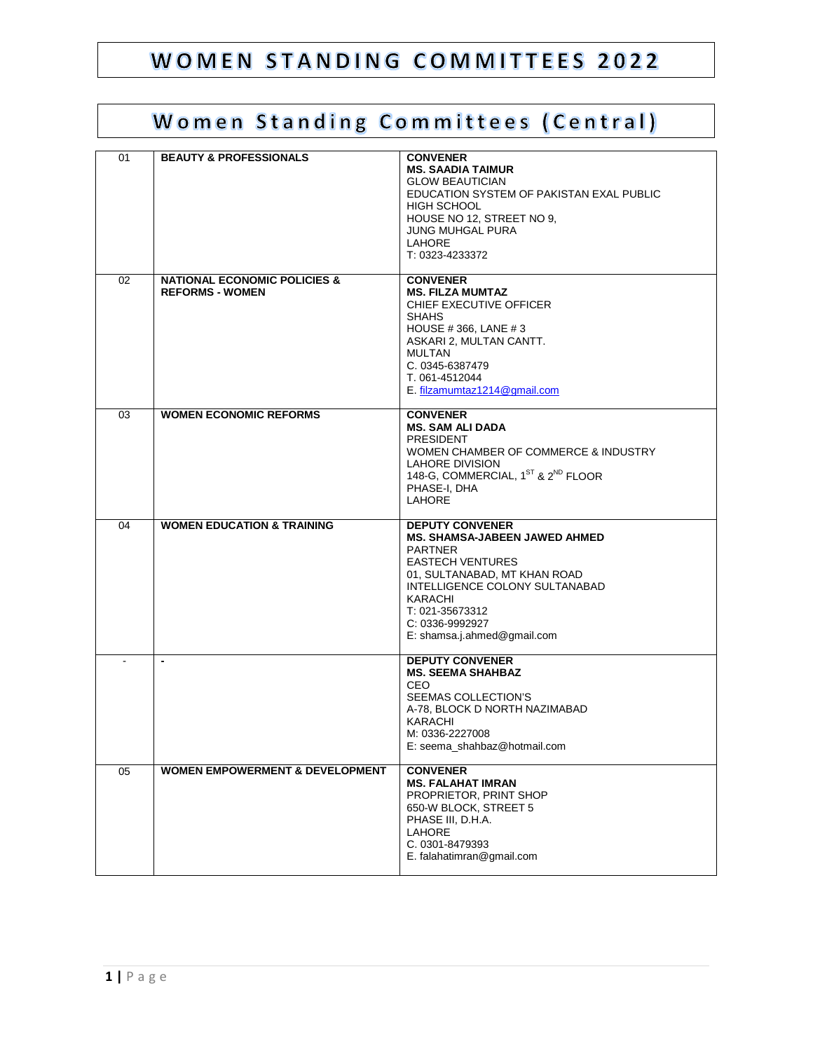#### WOMEN STANDING COMMITTEES 2022

#### Women Standing Committees (Central)

| 01     | <b>BEAUTY &amp; PROFESSIONALS</b>                                 | <b>CONVENER</b><br><b>MS. SAADIA TAIMUR</b><br><b>GLOW BEAUTICIAN</b><br>EDUCATION SYSTEM OF PAKISTAN EXAL PUBLIC<br><b>HIGH SCHOOL</b><br>HOUSE NO 12, STREET NO 9,<br><b>JUNG MUHGAL PURA</b><br><b>LAHORE</b><br>T: 0323-4233372                    |
|--------|-------------------------------------------------------------------|--------------------------------------------------------------------------------------------------------------------------------------------------------------------------------------------------------------------------------------------------------|
| 02     | <b>NATIONAL ECONOMIC POLICIES &amp;</b><br><b>REFORMS - WOMEN</b> | <b>CONVENER</b><br><b>MS. FILZA MUMTAZ</b><br>CHIEF EXECUTIVE OFFICER<br><b>SHAHS</b><br>HOUSE #366, LANE #3<br>ASKARI 2, MULTAN CANTT.<br><b>MULTAN</b><br>C. 0345-6387479<br>T. 061-4512044<br>E. filzamumtaz1214@gmail.com                          |
| 03     | <b>WOMEN ECONOMIC REFORMS</b>                                     | <b>CONVENER</b><br><b>MS. SAM ALI DADA</b><br><b>PRESIDENT</b><br>WOMEN CHAMBER OF COMMERCE & INDUSTRY<br>LAHORE DIVISION<br>148-G, COMMERCIAL, 1ST & 2 <sup>ND</sup> FLOOR<br>PHASE-I, DHA<br><b>LAHORE</b>                                           |
| 04     | <b>WOMEN EDUCATION &amp; TRAINING</b>                             | <b>DEPUTY CONVENER</b><br>MS. SHAMSA-JABEEN JAWED AHMED<br><b>PARTNER</b><br><b>EASTECH VENTURES</b><br>01, SULTANABAD, MT KHAN ROAD<br>INTELLIGENCE COLONY SULTANABAD<br>KARACHI<br>T: 021-35673312<br>C: 0336-9992927<br>E: shamsa.j.ahmed@gmail.com |
| $\sim$ | $\blacksquare$                                                    | <b>DEPUTY CONVENER</b><br><b>MS. SEEMA SHAHBAZ</b><br><b>CEO</b><br>SEEMAS COLLECTION'S<br>A-78, BLOCK D NORTH NAZIMABAD<br>KARACHI<br>M: 0336-2227008<br>E: seema_shahbaz@hotmail.com                                                                 |
| 05     | <b>WOMEN EMPOWERMENT &amp; DEVELOPMENT</b>                        | <b>CONVENER</b><br><b>MS. FALAHAT IMRAN</b><br>PROPRIETOR, PRINT SHOP<br>650-W BLOCK, STREET 5<br>PHASE III, D.H.A.<br><b>LAHORE</b><br>C. 0301-8479393<br>E. falahatimran@gmail.com                                                                   |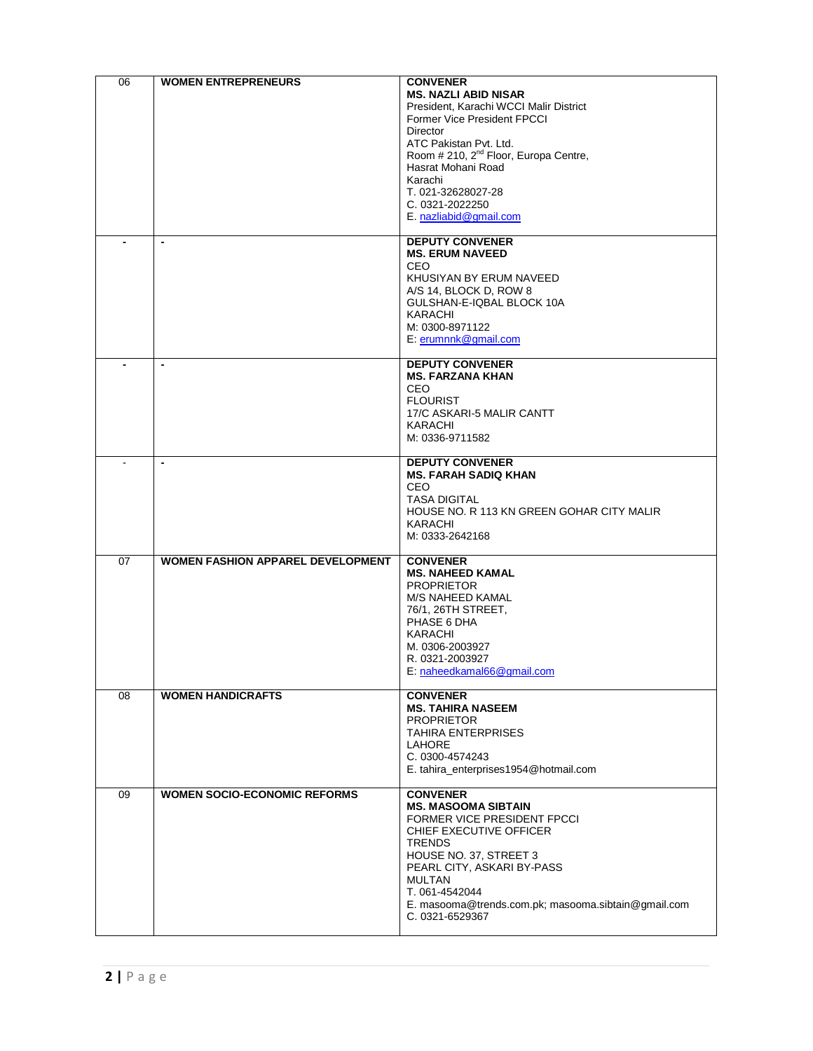| 06 | <b>WOMEN ENTREPRENEURS</b>               | <b>CONVENER</b><br><b>MS. NAZLI ABID NISAR</b><br>President, Karachi WCCI Malir District<br>Former Vice President FPCCI<br><b>Director</b><br>ATC Pakistan Pvt. Ltd.<br>Room # 210, 2 <sup>nd</sup> Floor, Europa Centre,<br>Hasrat Mohani Road<br>Karachi<br>T. 021-32628027-28<br>C. 0321-2022250<br>E. nazliabid@gmail.com |
|----|------------------------------------------|-------------------------------------------------------------------------------------------------------------------------------------------------------------------------------------------------------------------------------------------------------------------------------------------------------------------------------|
|    | $\blacksquare$                           | <b>DEPUTY CONVENER</b><br><b>MS. ERUM NAVEED</b><br><b>CEO</b><br>KHUSIYAN BY ERUM NAVEED<br>A/S 14, BLOCK D, ROW 8<br>GULSHAN-E-IQBAL BLOCK 10A<br><b>KARACHI</b><br>M: 0300-8971122<br>E. erumnnk@gmail.com                                                                                                                 |
|    | $\blacksquare$                           | <b>DEPUTY CONVENER</b><br><b>MS. FARZANA KHAN</b><br>CEO.<br><b>FLOURIST</b><br>17/C ASKARI-5 MALIR CANTT<br><b>KARACHI</b><br>M: 0336-9711582                                                                                                                                                                                |
|    | $\overline{\phantom{a}}$                 | <b>DEPUTY CONVENER</b><br><b>MS. FARAH SADIQ KHAN</b><br><b>CEO</b><br><b>TASA DIGITAL</b><br>HOUSE NO. R 113 KN GREEN GOHAR CITY MALIR<br>KARACHI<br>M: 0333-2642168                                                                                                                                                         |
| 07 | <b>WOMEN FASHION APPAREL DEVELOPMENT</b> | <b>CONVENER</b><br><b>MS. NAHEED KAMAL</b><br><b>PROPRIETOR</b><br>M/S NAHEED KAMAL<br>76/1, 26TH STREET,<br>PHASE 6 DHA<br>KARACHI<br>M. 0306-2003927<br>R. 0321-2003927<br>E: naheedkamal66@gmail.com                                                                                                                       |
| 08 | <b>WOMEN HANDICRAFTS</b>                 | <b>CONVENER</b><br><b>MS. TAHIRA NASEEM</b><br><b>PROPRIETOR</b><br><b>TAHIRA ENTERPRISES</b><br><b>LAHORE</b><br>C. 0300-4574243<br>E. tahira_enterprises1954@hotmail.com                                                                                                                                                    |
| 09 | <b>WOMEN SOCIO-ECONOMIC REFORMS</b>      | <b>CONVENER</b><br><b>MS. MASOOMA SIBTAIN</b><br>FORMER VICE PRESIDENT FPCCI<br>CHIEF EXECUTIVE OFFICER<br><b>TRENDS</b><br>HOUSE NO. 37, STREET 3<br>PEARL CITY, ASKARI BY-PASS<br><b>MULTAN</b><br>T. 061-4542044<br>E. masooma@trends.com.pk; masooma.sibtain@gmail.com<br>C. 0321-6529367                                 |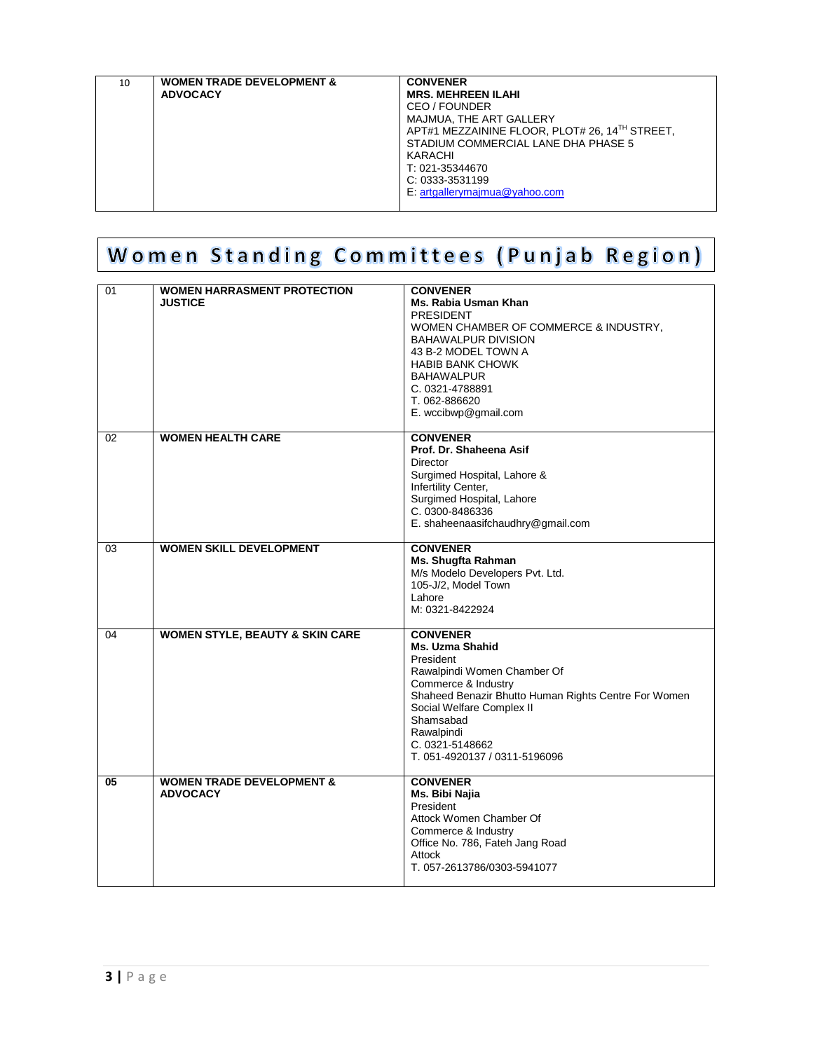| KARACHI<br>T: 021-35344670<br>C: 0333-3531199<br>E. artgallerymajmua@yahoo.com |
|--------------------------------------------------------------------------------|
|--------------------------------------------------------------------------------|

## Women Standing Committees (Punjab Region)

| 01 | <b>WOMEN HARRASMENT PROTECTION</b><br><b>JUSTICE</b> | <b>CONVENER</b><br>Ms. Rabia Usman Khan<br><b>PRESIDENT</b><br>WOMEN CHAMBER OF COMMERCE & INDUSTRY, |
|----|------------------------------------------------------|------------------------------------------------------------------------------------------------------|
|    |                                                      | <b>BAHAWALPUR DIVISION</b><br>43 B-2 MODEL TOWN A                                                    |
|    |                                                      | <b>HABIB BANK CHOWK</b><br><b>BAHAWALPUR</b>                                                         |
|    |                                                      | C. 0321-4788891<br>T. 062-886620                                                                     |
|    |                                                      | E. wccibwp@gmail.com                                                                                 |
| 02 | <b>WOMEN HEALTH CARE</b>                             | <b>CONVENER</b><br>Prof. Dr. Shaheena Asif                                                           |
|    |                                                      | Director                                                                                             |
|    |                                                      | Surgimed Hospital, Lahore &                                                                          |
|    |                                                      | Infertility Center,                                                                                  |
|    |                                                      | Surgimed Hospital, Lahore<br>C. 0300-8486336                                                         |
|    |                                                      | E. shaheenaasifchaudhry@gmail.com                                                                    |
| 03 | <b>WOMEN SKILL DEVELOPMENT</b>                       | <b>CONVENER</b><br>Ms. Shugfta Rahman                                                                |
|    |                                                      | M/s Modelo Developers Pvt. Ltd.                                                                      |
|    |                                                      | 105-J/2, Model Town                                                                                  |
|    |                                                      | Lahore                                                                                               |
|    |                                                      | M: 0321-8422924                                                                                      |
| 04 | <b>WOMEN STYLE, BEAUTY &amp; SKIN CARE</b>           | <b>CONVENER</b><br>Ms. Uzma Shahid                                                                   |
|    |                                                      | President                                                                                            |
|    |                                                      | Rawalpindi Women Chamber Of<br>Commerce & Industry                                                   |
|    |                                                      | Shaheed Benazir Bhutto Human Rights Centre For Women                                                 |
|    |                                                      | Social Welfare Complex II                                                                            |
|    |                                                      |                                                                                                      |
|    |                                                      | Shamsabad                                                                                            |
|    |                                                      | Rawalpindi                                                                                           |
|    |                                                      | C. 0321-5148662<br>T. 051-4920137 / 0311-5196096                                                     |
| 05 | <b>WOMEN TRADE DEVELOPMENT &amp;</b>                 | <b>CONVENER</b>                                                                                      |
|    | <b>ADVOCACY</b>                                      | Ms. Bibi Najia<br>President                                                                          |
|    |                                                      | Attock Women Chamber Of                                                                              |
|    |                                                      | Commerce & Industry                                                                                  |
|    |                                                      | Office No. 786, Fateh Jang Road<br>Attock                                                            |
|    |                                                      | T. 057-2613786/0303-5941077                                                                          |